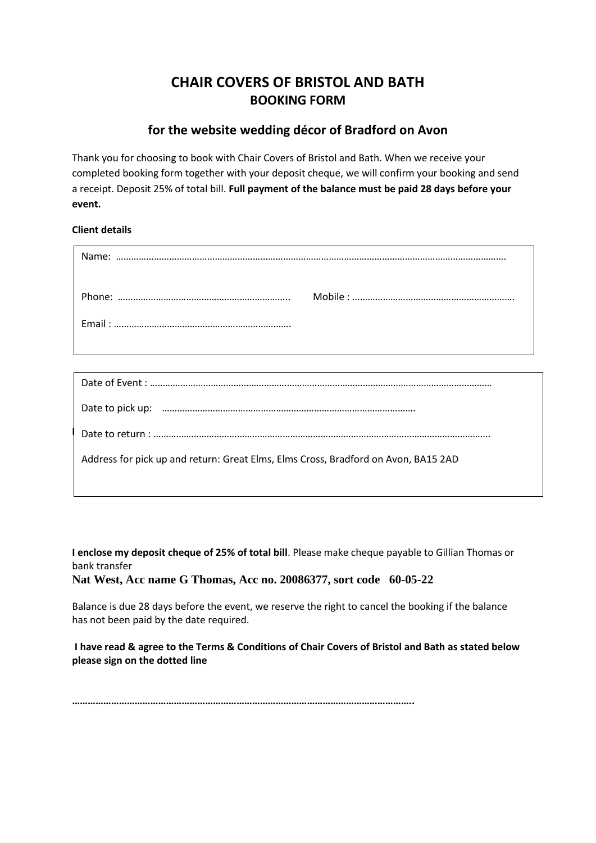# **CHAIR COVERS OF BRISTOL AND BATH BOOKING FORM**

## **for the website wedding décor of Bradford on Avon**

Thank you for choosing to book with Chair Covers of Bristol and Bath. When we receive your completed booking form together with your deposit cheque, we will confirm your booking and send a receipt. Deposit 25% of total bill. **Full payment of the balance must be paid 28 days before your event.** 

## **Client details**

| Address for pick up and return: Great Elms, Elms Cross, Bradford on Avon, BA15 2AD |
|------------------------------------------------------------------------------------|
|                                                                                    |

**I enclose my deposit cheque of 25% of total bill**. Please make cheque payable to Gillian Thomas or bank transfer

**Nat West, Acc name G Thomas, Acc no. 20086377, sort code 60-05-22**

Balance is due 28 days before the event, we reserve the right to cancel the booking if the balance has not been paid by the date required.

**I have read & agree to the Terms & Conditions of Chair Covers of Bristol and Bath as stated below please sign on the dotted line**

**…………………………………………………………………………………………………………………..**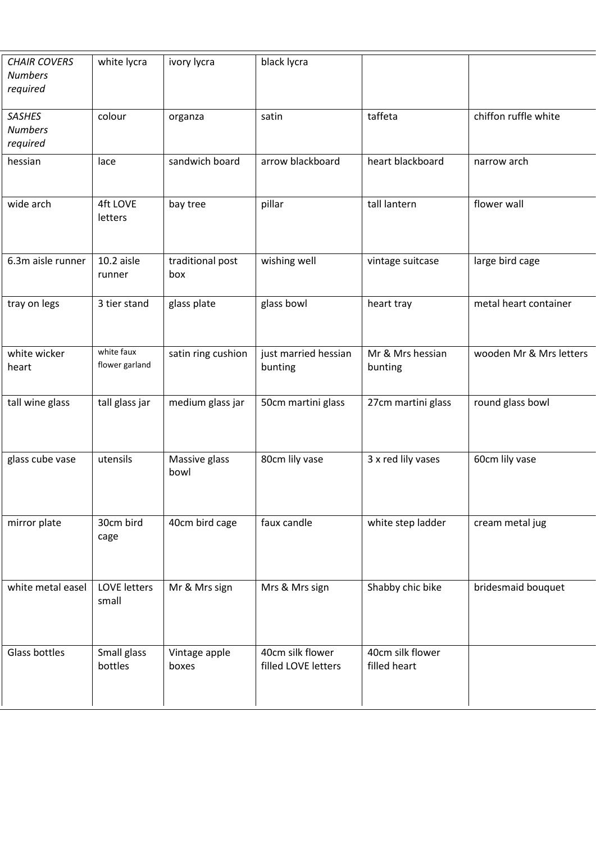| <b>CHAIR COVERS</b><br><b>Numbers</b><br>required | white lycra                  | ivory lycra             | black lycra                             |                                  |                         |
|---------------------------------------------------|------------------------------|-------------------------|-----------------------------------------|----------------------------------|-------------------------|
| <b>SASHES</b><br><b>Numbers</b><br>required       | colour                       | organza                 | satin                                   | taffeta                          | chiffon ruffle white    |
| hessian                                           | lace                         | sandwich board          | arrow blackboard                        | heart blackboard                 | narrow arch             |
| wide arch                                         | <b>4ft LOVE</b><br>letters   | bay tree                | pillar                                  | tall lantern                     | flower wall             |
| 6.3m aisle runner                                 | 10.2 aisle<br>runner         | traditional post<br>box | wishing well                            | vintage suitcase                 | large bird cage         |
| tray on legs                                      | 3 tier stand                 | glass plate             | glass bowl                              | heart tray                       | metal heart container   |
| white wicker<br>heart                             | white faux<br>flower garland | satin ring cushion      | just married hessian<br>bunting         | Mr & Mrs hessian<br>bunting      | wooden Mr & Mrs letters |
| tall wine glass                                   | tall glass jar               | medium glass jar        | 50cm martini glass                      | 27cm martini glass               | round glass bowl        |
| glass cube vase                                   | utensils                     | Massive glass<br>bowl   | 80cm lily vase                          | 3 x red lily vases               | 60cm lily vase          |
| mirror plate                                      | 30cm bird<br>cage            | 40cm bird cage          | faux candle                             | white step ladder                | cream metal jug         |
| white metal easel                                 | <b>LOVE letters</b><br>small | Mr & Mrs sign           | Mrs & Mrs sign                          | Shabby chic bike                 | bridesmaid bouquet      |
| Glass bottles                                     | Small glass<br>bottles       | Vintage apple<br>boxes  | 40cm silk flower<br>filled LOVE letters | 40cm silk flower<br>filled heart |                         |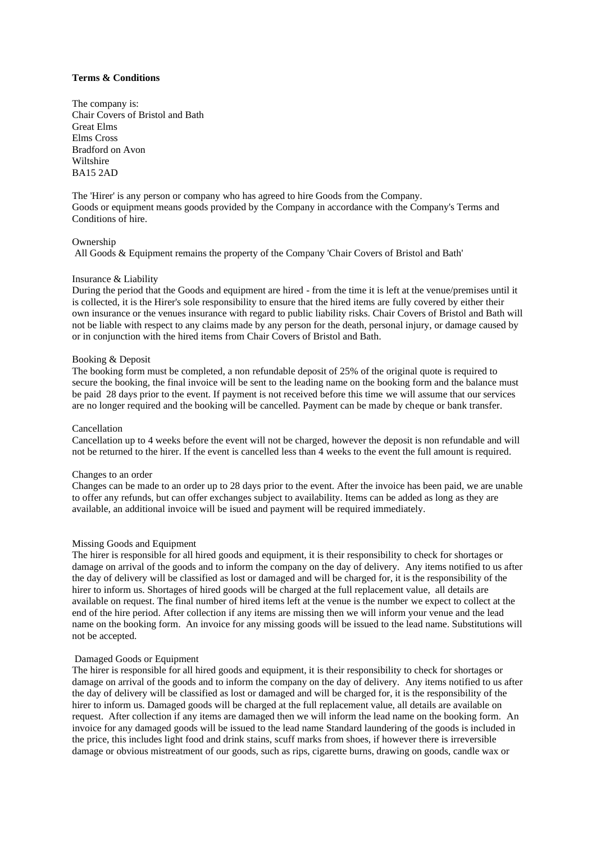## **Terms & Conditions**

The company is: Chair Covers of Bristol and Bath Great Elms Elms Cross Bradford on Avon Wiltshire BA15 2AD

The 'Hirer' is any person or company who has agreed to hire Goods from the Company. Goods or equipment means goods provided by the Company in accordance with the Company's Terms and Conditions of hire.

#### Ownership

All Goods & Equipment remains the property of the Company 'Chair Covers of Bristol and Bath'

## Insurance & Liability

During the period that the Goods and equipment are hired - from the time it is left at the venue/premises until it is collected, it is the Hirer's sole responsibility to ensure that the hired items are fully covered by either their own insurance or the venues insurance with regard to public liability risks. Chair Covers of Bristol and Bath will not be liable with respect to any claims made by any person for the death, personal injury, or damage caused by or in conjunction with the hired items from Chair Covers of Bristol and Bath.

#### Booking & Deposit

The booking form must be completed, a non refundable deposit of 25% of the original quote is required to secure the booking, the final invoice will be sent to the leading name on the booking form and the balance must be paid 28 days prior to the event. If payment is not received before this time we will assume that our services are no longer required and the booking will be cancelled. Payment can be made by cheque or bank transfer.

#### Cancellation

Cancellation up to 4 weeks before the event will not be charged, however the deposit is non refundable and will not be returned to the hirer. If the event is cancelled less than 4 weeks to the event the full amount is required.

#### Changes to an order

Changes can be made to an order up to 28 days prior to the event. After the invoice has been paid, we are unable to offer any refunds, but can offer exchanges subject to availability. Items can be added as long as they are available, an additional invoice will be isued and payment will be required immediately.

## Missing Goods and Equipment

The hirer is responsible for all hired goods and equipment, it is their responsibility to check for shortages or damage on arrival of the goods and to inform the company on the day of delivery. Any items notified to us after the day of delivery will be classified as lost or damaged and will be charged for, it is the responsibility of the hirer to inform us. Shortages of hired goods will be charged at the full replacement value, all details are available on request. The final number of hired items left at the venue is the number we expect to collect at the end of the hire period. After collection if any items are missing then we will inform your venue and the lead name on the booking form. An invoice for any missing goods will be issued to the lead name. Substitutions will not be accepted.

#### Damaged Goods or Equipment

The hirer is responsible for all hired goods and equipment, it is their responsibility to check for shortages or damage on arrival of the goods and to inform the company on the day of delivery. Any items notified to us after the day of delivery will be classified as lost or damaged and will be charged for, it is the responsibility of the hirer to inform us. Damaged goods will be charged at the full replacement value, all details are available on request. After collection if any items are damaged then we will inform the lead name on the booking form. An invoice for any damaged goods will be issued to the lead name Standard laundering of the goods is included in the price, this includes light food and drink stains, scuff marks from shoes, if however there is irreversible damage or obvious mistreatment of our goods, such as rips, cigarette burns, drawing on goods, candle wax or